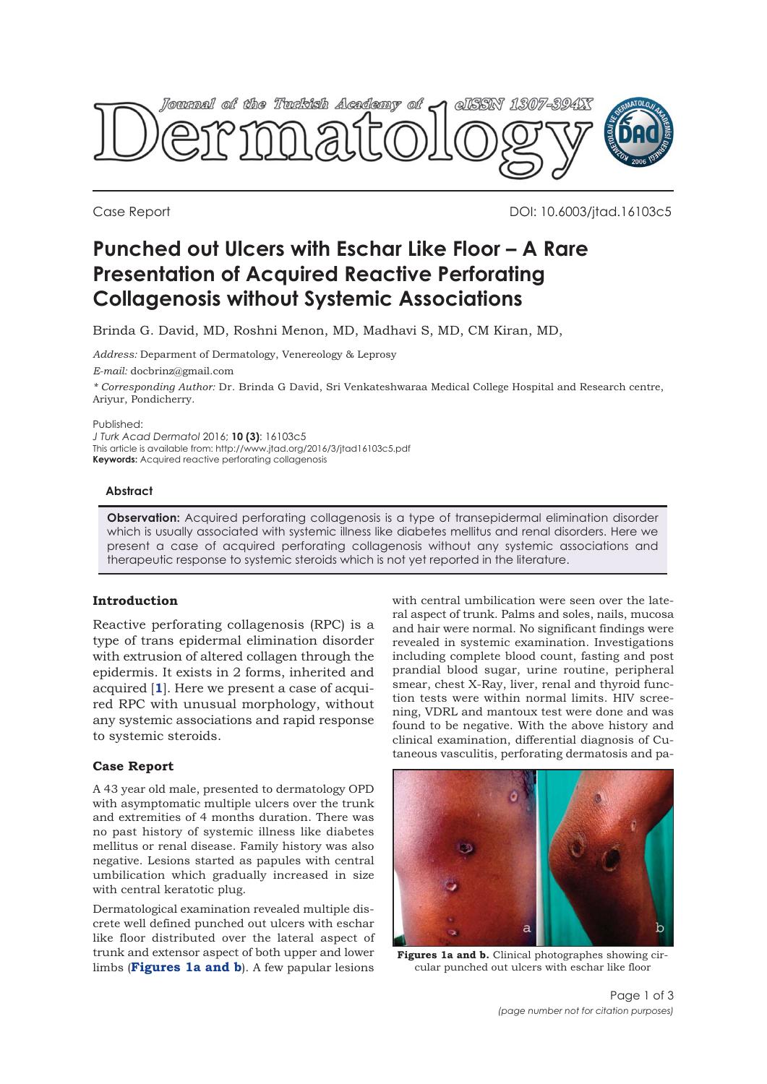

Case Report DOI: 10.6003/jtad.16103c5

# **Punched out Ulcers with Eschar Like Floor – A Rare Presentation of Acquired Reactive Perforating Collagenosis without Systemic Associations**

Brinda G. David, MD, Roshni Menon, MD, Madhavi S, MD, CM Kiran, MD,

*Address:* Deparment of Dermatology, Venereology & Leprosy

*E-mail:* docbrinz@gmail.com

*\* Corresponding Author:* Dr. Brinda G David, Sri Venkateshwaraa Medical College Hospital and Research centre, Ariyur, Pondicherry.

Published:

*J Turk Acad Dermatol* 2016; **10 (3)**: 16103c5 This article is available from: http://www.jtad.org/2016/3/jtad16103c5.pdf **Keywords:** Acquired reactive perforating collagenosis

#### **Abstract**

**Observation:** Acquired perforating collagenosis is a type of transepidermal elimination disorder which is usually associated with systemic illness like diabetes mellitus and renal disorders. Here we present a case of acquired perforating collagenosis without any systemic associations and therapeutic response to systemic steroids which is not yet reported in the literature.

## **Introduction**

Reactive perforating collagenosis (RPC) is a type of trans epidermal elimination disorder with extrusion of altered collagen through the epidermis. It exists in 2 forms, inherited and acquired [**[1](#page-2-0)**]. Here we present a case of acquired RPC with unusual morphology, without any systemic associations and rapid response to systemic steroids.

## **Case Report**

A 43 year old male, presented to dermatology OPD with asymptomatic multiple ulcers over the trunk and extremities of 4 months duration. There was no past history of systemic illness like diabetes mellitus or renal disease. Family history was also negative. Lesions started as papules with central umbilication which gradually increased in size with central keratotic plug.

Dermatological examination revealed multiple discrete well defined punched out ulcers with eschar like floor distributed over the lateral aspect of trunk and extensor aspect of both upper and lower limbs (**Figures 1a and b**). A few papular lesions

with central umbilication were seen over the lateral aspect of trunk. Palms and soles, nails, mucosa and hair were normal. No significant findings were revealed in systemic examination. Investigations including complete blood count, fasting and post prandial blood sugar, urine routine, peripheral smear, chest X-Ray, liver, renal and thyroid function tests were within normal limits. HIV screening, VDRL and mantoux test were done and was found to be negative. With the above history and clinical examination, differential diagnosis of Cutaneous vasculitis, perforating dermatosis and pa-



**Figures 1a and b.** Clinical photographes showing circular punched out ulcers with eschar like floor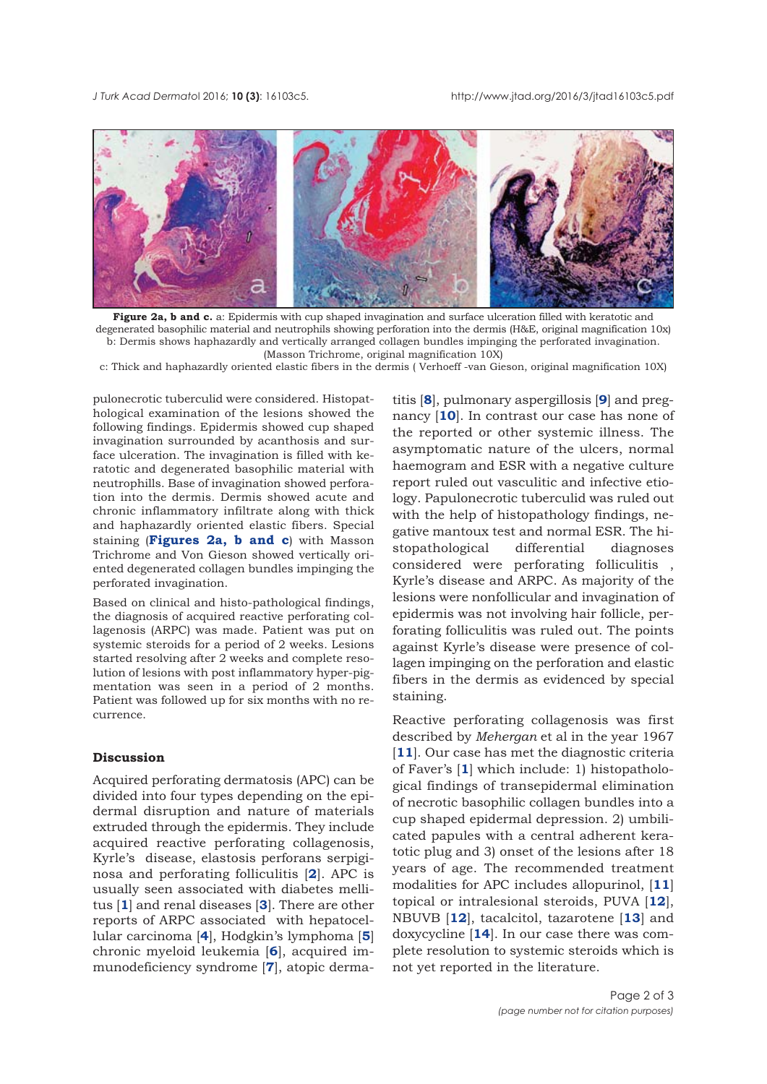

**Figure 2a, b and c.** a: Epidermis with cup shaped invagination and surface ulceration filled with keratotic and degenerated basophilic material and neutrophils showing perforation into the dermis (H&E, original magnification 10x) b: Dermis shows haphazardly and vertically arranged collagen bundles impinging the perforated invagination. (Masson Trichrome, original magnification 10X)

c: Thick and haphazardly oriented elastic fibers in the dermis ( Verhoeff -van Gieson, original magnification 10X)

pulonecrotic tuberculid were considered. Histopathological examination of the lesions showed the following findings. Epidermis showed cup shaped invagination surrounded by acanthosis and surface ulceration. The invagination is filled with keratotic and degenerated basophilic material with neutrophills. Base of invagination showed perforation into the dermis. Dermis showed acute and chronic inflammatory infiltrate along with thick and haphazardly oriented elastic fibers. Special staining (**Figures 2a, b and c**) with Masson Trichrome and Von Gieson showed vertically oriented degenerated collagen bundles impinging the perforated invagination.

Based on clinical and histo-pathological findings, the diagnosis of acquired reactive perforating collagenosis (ARPC) was made. Patient was put on systemic steroids for a period of 2 weeks. Lesions started resolving after 2 weeks and complete resolution of lesions with post inflammatory hyper-pigmentation was seen in a period of 2 months. Patient was followed up for six months with no recurrence.

## **Discussion**

Acquired perforating dermatosis (APC) can be divided into four types depending on the epidermal disruption and nature of materials extruded through the epidermis. They include acquired reactive perforating collagenosis, Kyrle's disease, elastosis perforans serpiginosa and perforating folliculitis [**[2](#page-2-0)**]. APC is usually seen associated with diabetes mellitus [**[1](#page-2-0)**] and renal diseases [**[3](#page-2-0)**]. There are other reports of ARPC associated with hepatocellular carcinoma [**[4](#page-2-0)**], Hodgkin's lymphoma [**[5](#page-2-0)**] chronic myeloid leukemia [**[6](#page-2-0)**], acquired immunodeficiency syndrome [**[7](#page-2-0)**], atopic derma-

titis [**[8](#page-2-0)**], pulmonary aspergillosis [**[9](#page-2-0)**] and pregnancy [**[10](#page-2-0)**]. In contrast our case has none of the reported or other systemic illness. The asymptomatic nature of the ulcers, normal haemogram and ESR with a negative culture report ruled out vasculitic and infective etiology. Papulonecrotic tuberculid was ruled out with the help of histopathology findings, negative mantoux test and normal ESR. The histopathological differential diagnoses considered were perforating folliculitis , Kyrle's disease and ARPC. As majority of the lesions were nonfollicular and invagination of epidermis was not involving hair follicle, perforating folliculitis was ruled out. The points against Kyrle's disease were presence of collagen impinging on the perforation and elastic fibers in the dermis as evidenced by special staining.

Reactive perforating collagenosis was first described by *Mehergan* et al in the year 1967 [[11](#page-2-0)]. Our case has met the diagnostic criteria of Faver's [**[1](#page-2-0)**] which include: 1) histopathological findings of transepidermal elimination of necrotic basophilic collagen bundles into a cup shaped epidermal depression. 2) umbilicated papules with a central adherent keratotic plug and 3) onset of the lesions after 18 years of age. The recommended treatment modalities for APC includes allopurinol, [**[11](#page-2-0)**] topical or intralesional steroids, PUVA [**[12](#page-2-0)**], NBUVB [**[12](#page-2-0)**], tacalcitol, tazarotene [**13**] and doxycycline [**[14](#page-2-0)**]. In our case there was complete resolution to systemic steroids which is not yet reported in the literature.